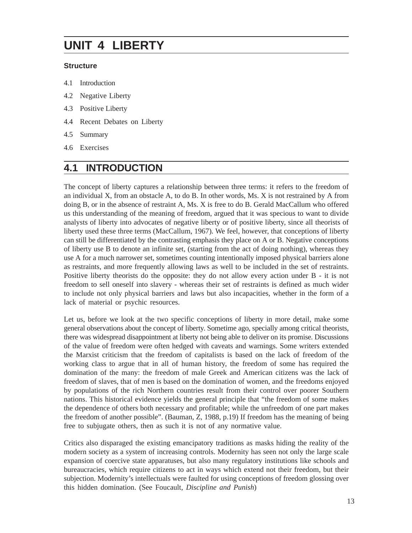# **UNIT 4 LIBERTY**

#### **Structure**

- 4.1 Introduction
- 4.2 Negative Liberty
- 4.3 Positive Liberty
- 4.4 Recent Debates on Liberty
- 4.5 Summary
- 4.6 Exercises

### **4.1 INTRODUCTION**

The concept of liberty captures a relationship between three terms: it refers to the freedom of an individual X, from an obstacle A, to do B. In other words, Ms. X is not restrained by A from doing B, or in the absence of restraint A, Ms. X is free to do B. Gerald MacCallum who offered us this understanding of the meaning of freedom, argued that it was specious to want to divide analysts of liberty into advocates of negative liberty or of positive liberty, since all theorists of liberty used these three terms (MacCallum, 1967). We feel, however, that conceptions of liberty can still be differentiated by the contrasting emphasis they place on A or B. Negative conceptions of liberty use B to denote an infinite set, (starting from the act of doing nothing), whereas they use A for a much narrower set, sometimes counting intentionally imposed physical barriers alone as restraints, and more frequently allowing laws as well to be included in the set of restraints. Positive liberty theorists do the opposite: they do not allow every action under B - it is not freedom to sell oneself into slavery - whereas their set of restraints is defined as much wider to include not only physical barriers and laws but also incapacities, whether in the form of a lack of material or psychic resources.

Let us, before we look at the two specific conceptions of liberty in more detail, make some general observations about the concept of liberty. Sometime ago, specially among critical theorists, there was widespread disappointment at liberty not being able to deliver on its promise. Discussions of the value of freedom were often hedged with caveats and warnings. Some writers extended the Marxist criticism that the freedom of capitalists is based on the lack of freedom of the working class to argue that in all of human history, the freedom of some has required the domination of the many: the freedom of male Greek and American citizens was the lack of freedom of slaves, that of men is based on the domination of women, and the freedoms enjoyed by populations of the rich Northern countries result from their control over poorer Southern nations. This historical evidence yields the general principle that "the freedom of some makes the dependence of others both necessary and profitable; while the unfreedom of one part makes the freedom of another possible". (Bauman, Z, 1988, p.19) If freedom has the meaning of being free to subjugate others, then as such it is not of any normative value.

Critics also disparaged the existing emancipatory traditions as masks hiding the reality of the modern society as a system of increasing controls. Modernity has seen not only the large scale expansion of coercive state apparatuses, but also many regulatory institutions like schools and bureaucracies, which require citizens to act in ways which extend not their freedom, but their subjection. Modernity's intellectuals were faulted for using conceptions of freedom glossing over this hidden domination. (See Foucault, *Discipline and Punish*)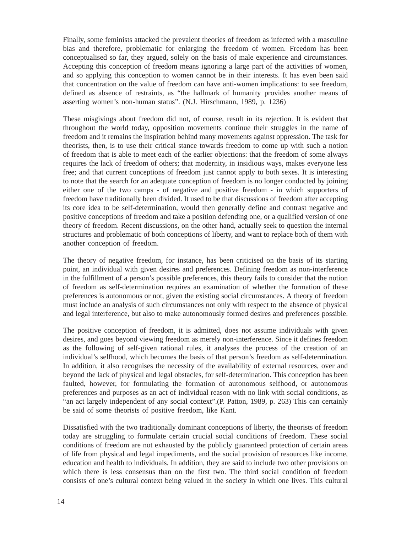Finally, some feminists attacked the prevalent theories of freedom as infected with a masculine bias and therefore, problematic for enlarging the freedom of women. Freedom has been conceptualised so far, they argued, solely on the basis of male experience and circumstances. Accepting this conception of freedom means ignoring a large part of the activities of women, and so applying this conception to women cannot be in their interests. It has even been said that concentration on the value of freedom can have anti-women implications: to see freedom, defined as absence of restraints, as "the hallmark of humanity provides another means of asserting women's non-human status". (N.J. Hirschmann, 1989, p. 1236)

These misgivings about freedom did not, of course, result in its rejection. It is evident that throughout the world today, opposition movements continue their struggles in the name of freedom and it remains the inspiration behind many movements against oppression. The task for theorists, then, is to use their critical stance towards freedom to come up with such a notion of freedom that is able to meet each of the earlier objections: that the freedom of some always requires the lack of freedom of others; that modernity, in insidious ways, makes everyone less free; and that current conceptions of freedom just cannot apply to both sexes. It is interesting to note that the search for an adequate conception of freedom is no longer conducted by joining either one of the two camps - of negative and positive freedom - in which supporters of freedom have traditionally been divided. It used to be that discussions of freedom after accepting its core idea to be self-determination, would then generally define and contrast negative and positive conceptions of freedom and take a position defending one, or a qualified version of one theory of freedom. Recent discussions, on the other hand, actually seek to question the internal structures and problematic of both conceptions of liberty, and want to replace both of them with another conception of freedom.

The theory of negative freedom, for instance, has been criticised on the basis of its starting point, an individual with given desires and preferences. Defining freedom as non-interference in the fulfillment of a person's possible preferences, this theory fails to consider that the notion of freedom as self-determination requires an examination of whether the formation of these preferences is autonomous or not, given the existing social circumstances. A theory of freedom must include an analysis of such circumstances not only with respect to the absence of physical and legal interference, but also to make autonomously formed desires and preferences possible.

The positive conception of freedom, it is admitted, does not assume individuals with given desires, and goes beyond viewing freedom as merely non-interference. Since it defines freedom as the following of self-given rational rules, it analyses the process of the creation of an individual's selfhood, which becomes the basis of that person's freedom as self-determination. In addition, it also recognises the necessity of the availability of external resources, over and beyond the lack of physical and legal obstacles, for self-determination. This conception has been faulted, however, for formulating the formation of autonomous selfhood, or autonomous preferences and purposes as an act of individual reason with no link with social conditions, as "an act largely independent of any social context".(P. Patton, 1989, p. 263) This can certainly be said of some theorists of positive freedom, like Kant.

Dissatisfied with the two traditionally dominant conceptions of liberty, the theorists of freedom today are struggling to formulate certain crucial social conditions of freedom. These social conditions of freedom are not exhausted by the publicly guaranteed protection of certain areas of life from physical and legal impediments, and the social provision of resources like income, education and health to individuals. In addition, they are said to include two other provisions on which there is less consensus than on the first two. The third social condition of freedom consists of one's cultural context being valued in the society in which one lives. This cultural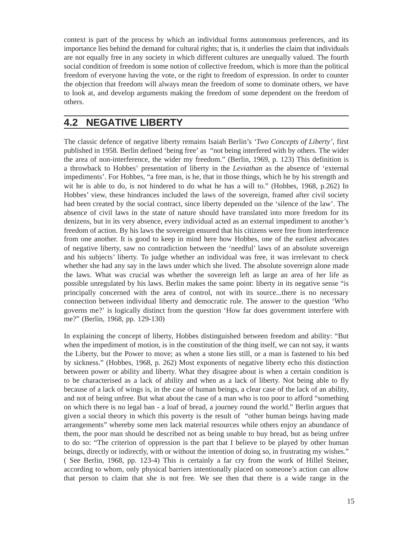context is part of the process by which an individual forms autonomous preferences, and its importance lies behind the demand for cultural rights; that is, it underlies the claim that individuals are not equally free in any society in which different cultures are unequally valued. The fourth social condition of freedom is some notion of collective freedom, which is more than the political freedom of everyone having the vote, or the right to freedom of expression. In order to counter the objection that freedom will always mean the freedom of some to dominate others, we have to look at, and develop arguments making the freedom of some dependent on the freedom of others.

#### **4.2 NEGATIVE LIBERTY**

The classic defence of negative liberty remains Isaiah Berlin's *'Two Concepts of Liberty',* first published in 1958. Berlin defined 'being free' as "not being interfered with by others. The wider the area of non-interference, the wider my freedom." (Berlin, 1969, p. 123) This definition is a throwback to Hobbes' presentation of liberty in the *Leviathan* as the absence of 'external impediments'. For Hobbes, "a free man, is he, that in those things, which he by his strength and wit he is able to do, is not hindered to do what he has a will to." (Hobbes, 1968, p.262) In Hobbes' view, these hindrances included the laws of the sovereign, framed after civil society had been created by the social contract, since liberty depended on the 'silence of the law'. The absence of civil laws in the state of nature should have translated into more freedom for its denizens, but in its very absence, every individual acted as an external impediment to another's freedom of action. By his laws the sovereign ensured that his citizens were free from interference from one another. It is good to keep in mind here how Hobbes, one of the earliest advocates of negative liberty, saw no contradiction between the 'needful' laws of an absolute sovereign and his subjects' liberty. To judge whether an individual was free, it was irrelevant to check whether she had any say in the laws under which she lived. The absolute sovereign alone made the laws. What was crucial was whether the sovereign left as large an area of her life as possible unregulated by his laws. Berlin makes the same point: liberty in its negative sense "is principally concerned with the area of control, not with its source...there is no necessary connection between individual liberty and democratic rule. The answer to the question 'Who governs me?' is logically distinct from the question 'How far does government interfere with me?" (Berlin, 1968, pp. 129-130)

In explaining the concept of liberty, Hobbes distinguished between freedom and ability: "But when the impediment of motion, is in the constitution of the thing itself, we can not say, it wants the Liberty, but the Power to move; as when a stone lies still, or a man is fastened to his bed by sickness." (Hobbes, 1968, p. 262) Most exponents of negative liberty echo this distinction between power or ability and liberty. What they disagree about is when a certain condition is to be characterised as a lack of ability and when as a lack of liberty. Not being able to fly because of a lack of wings is, in the case of human beings, a clear case of the lack of an ability, and not of being unfree. But what about the case of a man who is too poor to afford "something on which there is no legal ban - a loaf of bread, a journey round the world." Berlin argues that given a social theory in which this poverty is the result of "other human beings having made arrangements" whereby some men lack material resources while others enjoy an abundance of them, the poor man should be described not as being unable to buy bread, but as being unfree to do so: "The criterion of oppression is the part that I believe to be played by other human beings, directly or indirectly, with or without the intention of doing so, in frustrating my wishes." ( See Berlin, 1968, pp. 123-4) This is certainly a far cry from the work of Hillel Steiner, according to whom, only physical barriers intentionally placed on someone's action can allow that person to claim that she is not free. We see then that there is a wide range in the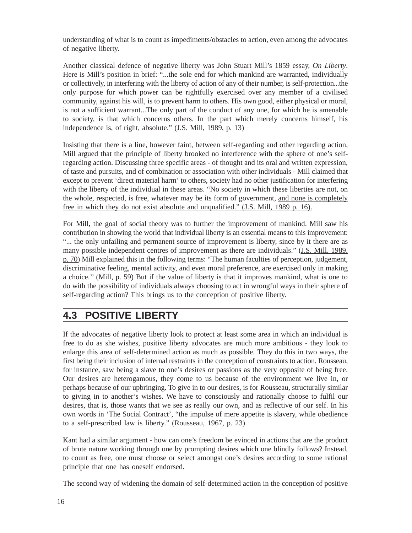understanding of what is to count as impediments/obstacles to action, even among the advocates of negative liberty.

Another classical defence of negative liberty was John Stuart Mill's 1859 essay, *On Liberty*. Here is Mill's position in brief: "...the sole end for which mankind are warranted, individually or collectively, in interfering with the liberty of action of any of their number, is self-protection...the only purpose for which power can be rightfully exercised over any member of a civilised community, against his will, is to prevent harm to others. His own good, either physical or moral, is not a sufficient warrant...The only part of the conduct of any one, for which he is amenable to society, is that which concerns others. In the part which merely concerns himself, his independence is, of right, absolute." (J.S. Mill, 1989, p. 13)

Insisting that there is a line, however faint, between self-regarding and other regarding action, Mill argued that the principle of liberty brooked no interference with the sphere of one's selfregarding action. Discussing three specific areas - of thought and its oral and written expression, of taste and pursuits, and of combination or association with other individuals - Mill claimed that except to prevent 'direct material harm' to others, society had no other justification for interfering with the liberty of the individual in these areas. "No society in which these liberties are not, on the whole, respected, is free, whatever may be its form of government, and none is completely free in which they do not exist absolute and unqualified." (J.S. Mill, 1989 p. 16).

For Mill, the goal of social theory was to further the improvement of mankind. Mill saw his contribution in showing the world that individual liberty is an essential means to this improvement: "... the only unfailing and permanent source of improvement is liberty, since by it there are as many possible independent centres of improvement as there are individuals." (J.S. Mill, 1989, p. 70) Mill explained this in the following terms: "The human faculties of perception, judgement, discriminative feeling, mental activity, and even moral preference, are exercised only in making a choice.'' (Mill, p. 59) But if the value of liberty is that it improves mankind, what is one to do with the possibility of individuals always choosing to act in wrongful ways in their sphere of self-regarding action? This brings us to the conception of positive liberty.

#### **4.3 POSITIVE LIBERTY**

If the advocates of negative liberty look to protect at least some area in which an individual is free to do as she wishes, positive liberty advocates are much more ambitious - they look to enlarge this area of self-determined action as much as possible. They do this in two ways, the first being their inclusion of internal restraints in the conception of constraints to action. Rousseau, for instance, saw being a slave to one's desires or passions as the very opposite of being free. Our desires are heterogamous, they come to us because of the environment we live in, or perhaps because of our upbringing. To give in to our desires, is for Rousseau, structurally similar to giving in to another's wishes. We have to consciously and rationally choose to fulfil our desires, that is, those wants that we see as really our own, and as reflective of our self. In his own words in 'The Social Contract', "the impulse of mere appetite is slavery, while obedience to a self-prescribed law is liberty." (Rousseau, 1967, p. 23)

Kant had a similar argument - how can one's freedom be evinced in actions that are the product of brute nature working through one by prompting desires which one blindly follows? Instead, to count as free, one must choose or select amongst one's desires according to some rational principle that one has oneself endorsed.

The second way of widening the domain of self-determined action in the conception of positive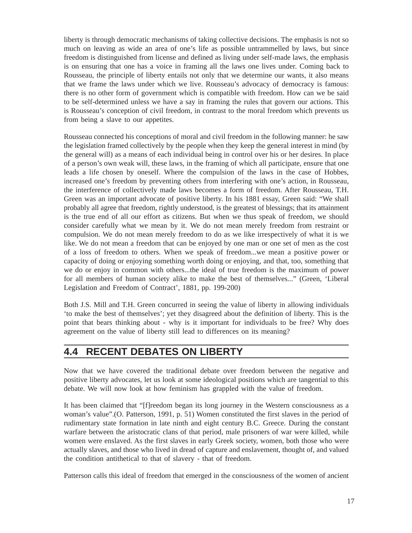liberty is through democratic mechanisms of taking collective decisions. The emphasis is not so much on leaving as wide an area of one's life as possible untrammelled by laws, but since freedom is distinguished from license and defined as living under self-made laws, the emphasis is on ensuring that one has a voice in framing all the laws one lives under. Coming back to Rousseau, the principle of liberty entails not only that we determine our wants, it also means that we frame the laws under which we live. Rousseau's advocacy of democracy is famous: there is no other form of government which is compatible with freedom. How can we be said to be self-determined unless we have a say in framing the rules that govern our actions. This is Rousseau's conception of civil freedom, in contrast to the moral freedom which prevents us from being a slave to our appetites.

Rousseau connected his conceptions of moral and civil freedom in the following manner: he saw the legislation framed collectively by the people when they keep the general interest in mind (by the general will) as a means of each individual being in control over his or her desires. In place of a person's own weak will, these laws, in the framing of which all participate, ensure that one leads a life chosen by oneself. Where the compulsion of the laws in the case of Hobbes, increased one's freedom by preventing others from interfering with one's action, in Rousseau, the interference of collectively made laws becomes a form of freedom. After Rousseau, T.H. Green was an important advocate of positive liberty. In his 1881 essay, Green said: "We shall probably all agree that freedom, rightly understood, is the greatest of blessings; that its attainment is the true end of all our effort as citizens. But when we thus speak of freedom, we should consider carefully what we mean by it. We do not mean merely freedom from restraint or compulsion. We do not mean merely freedom to do as we like irrespectively of what it is we like. We do not mean a freedom that can be enjoyed by one man or one set of men as the cost of a loss of freedom to others. When we speak of freedom...we mean a positive power or capacity of doing or enjoying something worth doing or enjoying, and that, too, something that we do or enjoy in common with others...the ideal of true freedom is the maximum of power for all members of human society alike to make the best of themselves..." (Green, 'Liberal Legislation and Freedom of Contract', 1881, pp. 199-200)

Both J.S. Mill and T.H. Green concurred in seeing the value of liberty in allowing individuals 'to make the best of themselves'; yet they disagreed about the definition of liberty. This is the point that bears thinking about - why is it important for individuals to be free? Why does agreement on the value of liberty still lead to differences on its meaning?

## **4.4 RECENT DEBATES ON LIBERTY**

Now that we have covered the traditional debate over freedom between the negative and positive liberty advocates, let us look at some ideological positions which are tangential to this debate. We will now look at how feminism has grappled with the value of freedom.

It has been claimed that "[f]reedom began its long journey in the Western consciousness as a woman's value".(O. Patterson, 1991, p. 51) Women constituted the first slaves in the period of rudimentary state formation in late ninth and eight century B.C. Greece. During the constant warfare between the aristocratic clans of that period, male prisoners of war were killed, while women were enslaved. As the first slaves in early Greek society, women, both those who were actually slaves, and those who lived in dread of capture and enslavement, thought of, and valued the condition antithetical to that of slavery - that of freedom.

Patterson calls this ideal of freedom that emerged in the consciousness of the women of ancient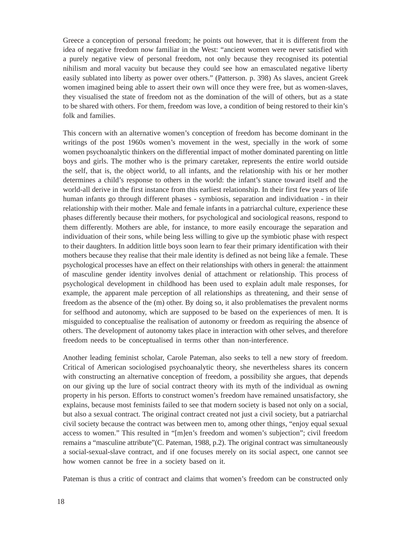Greece a conception of personal freedom; he points out however, that it is different from the idea of negative freedom now familiar in the West: "ancient women were never satisfied with a purely negative view of personal freedom, not only because they recognised its potential nihilism and moral vacuity but because they could see how an emasculated negative liberty easily sublated into liberty as power over others." (Patterson. p. 398) As slaves, ancient Greek women imagined being able to assert their own will once they were free, but as women-slaves, they visualised the state of freedom not as the domination of the will of others, but as a state to be shared with others. For them, freedom was love, a condition of being restored to their kin's folk and families.

This concern with an alternative women's conception of freedom has become dominant in the writings of the post 1960s women's movement in the west, specially in the work of some women psychoanalytic thinkers on the differential impact of mother dominated parenting on little boys and girls. The mother who is the primary caretaker, represents the entire world outside the self, that is, the object world, to all infants, and the relationship with his or her mother determines a child's response to others in the world: the infant's stance toward itself and the world-all derive in the first instance from this earliest relationship. In their first few years of life human infants go through different phases - symbiosis, separation and individuation - in their relationship with their mother. Male and female infants in a patriarchal culture, experience these phases differently because their mothers, for psychological and sociological reasons, respond to them differently. Mothers are able, for instance, to more easily encourage the separation and individuation of their sons, while being less willing to give up the symbiotic phase with respect to their daughters. In addition little boys soon learn to fear their primary identification with their mothers because they realise that their male identity is defined as not being like a female. These psychological processes have an effect on their relationships with others in general: the attainment of masculine gender identity involves denial of attachment or relationship. This process of psychological development in childhood has been used to explain adult male responses, for example, the apparent male perception of all relationships as threatening, and their sense of freedom as the absence of the (m) other. By doing so, it also problematises the prevalent norms for selfhood and autonomy, which are supposed to be based on the experiences of men. It is misguided to conceptualise the realisation of autonomy or freedom as requiring the absence of others. The development of autonomy takes place in interaction with other selves, and therefore freedom needs to be conceptualised in terms other than non-interference.

Another leading feminist scholar, Carole Pateman, also seeks to tell a new story of freedom. Critical of American sociologised psychoanalytic theory, she nevertheless shares its concern with constructing an alternative conception of freedom, a possibility she argues, that depends on our giving up the lure of social contract theory with its myth of the individual as owning property in his person. Efforts to construct women's freedom have remained unsatisfactory, she explains, because most feminists failed to see that modern society is based not only on a social, but also a sexual contract. The original contract created not just a civil society, but a patriarchal civil society because the contract was between men to, among other things, "enjoy equal sexual access to women." This resulted in "[m]en's freedom and women's subjection"; civil freedom remains a "masculine attribute"(C. Pateman, 1988, p.2). The original contract was simultaneously a social-sexual-slave contract, and if one focuses merely on its social aspect, one cannot see how women cannot be free in a society based on it.

Pateman is thus a critic of contract and claims that women's freedom can be constructed only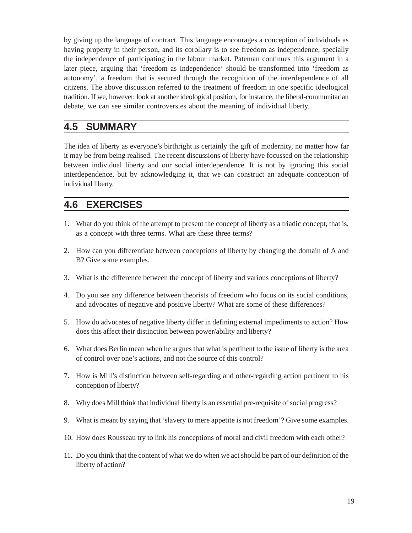by giving up the language of contract. This language encourages a conception of individuals as having property in their person, and its corollary is to see freedom as independence, specially the independence of participating in the labour market. Pateman continues this argument in a later piece, arguing that 'freedom as independence' should be transformed into 'freedom as autonomy', a freedom that is secured through the recognition of the interdependence of all citizens. The above discussion referred to the treatment of freedom in one specific ideological tradition. If we, however, look at another ideological position, for instance, the liberal-communitarian debate, we can see similar controversies about the meaning of individual liberty.

#### **4.5 SUMMARY**

The idea of liberty as everyone's birthright is certainly the gift of modernity, no matter how far it may be from being realised. The recent discussions of liberty have focussed on the relationship between individual liberty and our social interdependence. It is not by ignoring this social interdependence, but by acknowledging it, that we can construct an adequate conception of individual liberty.

#### **4.6 EXERCISES**

- 1. What do you think of the attempt to present the concept of liberty as a triadic concept, that is, as a concept with three terms. What are these three terms?
- 2. How can you differentiate between conceptions of liberty by changing the domain of A and B? Give some examples.
- 3. What is the difference between the concept of liberty and various conceptions of liberty?
- 4. Do you see any difference between theorists of freedom who focus on its social conditions, and advocates of negative and positive liberty? What are some of these differences?
- 5. How do advocates of negative liberty differ in defining external impediments to action? How does this affect their distinction between power/ability and liberty?
- 6. What does Berlin mean when he argues that what is pertinent to the issue of liberty is the area of control over one's actions, and not the source of this control?
- 7. How is Mill's distinction between self-regarding and other-regarding action pertinent to his conception of liberty?
- 8. Why does Mill think that individual liberty is an essential pre-requisite of social progress?
- 9. What is meant by saying that 'slavery to mere appetite is not freedom'? Give some examples.
- 10. How does Rousseau try to link his conceptions of moral and civil freedom with each other?
- 11. Do you think that the content of what we do when we act should be part of our definition of the liberty of action?